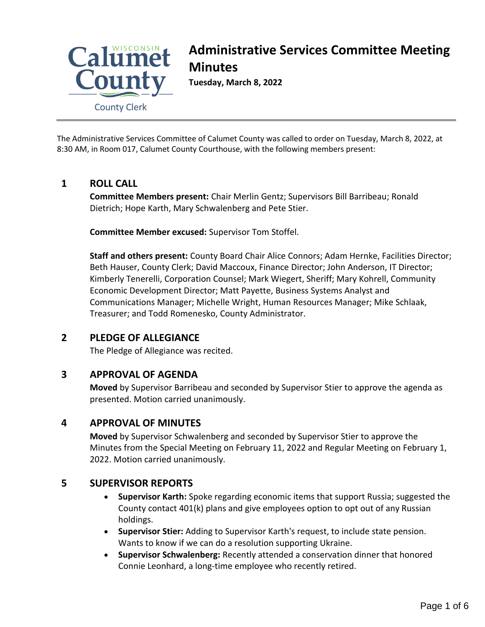

# **Administrative Services Committee Meeting Minutes**

**Tuesday, March 8, 2022**

The Administrative Services Committee of Calumet County was called to order on Tuesday, March 8, 2022, at 8:30 AM, in Room 017, Calumet County Courthouse, with the following members present:

# **1 ROLL CALL**

**Committee Members present:** Chair Merlin Gentz; Supervisors Bill Barribeau; Ronald Dietrich; Hope Karth, Mary Schwalenberg and Pete Stier.

**Committee Member excused:** Supervisor Tom Stoffel.

**Staff and others present:** County Board Chair Alice Connors; Adam Hernke, Facilities Director; Beth Hauser, County Clerk; David Maccoux, Finance Director; John Anderson, IT Director; Kimberly Tenerelli, Corporation Counsel; Mark Wiegert, Sheriff; Mary Kohrell, Community Economic Development Director; Matt Payette, Business Systems Analyst and Communications Manager; Michelle Wright, Human Resources Manager; Mike Schlaak, Treasurer; and Todd Romenesko, County Administrator.

## **2 PLEDGE OF ALLEGIANCE**

The Pledge of Allegiance was recited.

## **3 APPROVAL OF AGENDA**

**Moved** by Supervisor Barribeau and seconded by Supervisor Stier to approve the agenda as presented. Motion carried unanimously.

## **4 APPROVAL OF MINUTES**

**Moved** by Supervisor Schwalenberg and seconded by Supervisor Stier to approve the Minutes from the Special Meeting on February 11, 2022 and Regular Meeting on February 1, 2022. Motion carried unanimously.

## **5 SUPERVISOR REPORTS**

- **Supervisor Karth:** Spoke regarding economic items that support Russia; suggested the County contact 401(k) plans and give employees option to opt out of any Russian holdings.
- **Supervisor Stier:** Adding to Supervisor Karth's request, to include state pension. Wants to know if we can do a resolution supporting Ukraine.
- **Supervisor Schwalenberg:** Recently attended a conservation dinner that honored Connie Leonhard, a long-time employee who recently retired.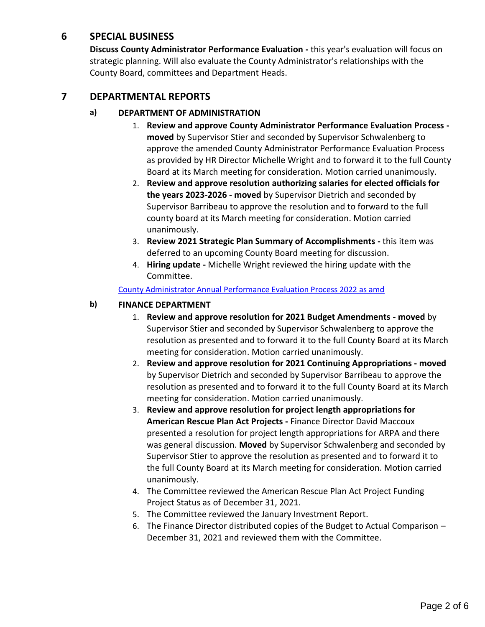#### **6 SPECIAL BUSINESS**

**Discuss County Administrator Performance Evaluation -** this year's evaluation will focus on strategic planning. Will also evaluate the County Administrator's relationships with the County Board, committees and Department Heads.

#### **7 DEPARTMENTAL REPORTS**

#### **a) DEPARTMENT OF ADMINISTRATION**

- 1. **Review and approve County Administrator Performance Evaluation Process moved** by Supervisor Stier and seconded by Supervisor Schwalenberg to approve the amended County Administrator Performance Evaluation Process as provided by HR Director Michelle Wright and to forward it to the full County Board at its March meeting for consideration. Motion carried unanimously.
- 2. **Review and approve resolution authorizing salaries for elected officials for the years 2023-2026 - moved** by Supervisor Dietrich and seconded by Supervisor Barribeau to approve the resolution and to forward to the full county board at its March meeting for consideration. Motion carried unanimously.
- 3. **Review 2021 Strategic Plan Summary of Accomplishments -** this item was deferred to an upcoming County Board meeting for discussion.
- 4. **Hiring update -** Michelle Wright reviewed the hiring update with the Committee.

[County Administrator Annual Performance Evaluation Process 2022 as amd](#page-3-0)

#### **b) FINANCE DEPARTMENT**

- 1. **Review and approve resolution for 2021 Budget Amendments - moved** by Supervisor Stier and seconded by Supervisor Schwalenberg to approve the resolution as presented and to forward it to the full County Board at its March meeting for consideration. Motion carried unanimously.
- 2. **Review and approve resolution for 2021 Continuing Appropriations - moved** by Supervisor Dietrich and seconded by Supervisor Barribeau to approve the resolution as presented and to forward it to the full County Board at its March meeting for consideration. Motion carried unanimously.
- 3. **Review and approve resolution for project length appropriations for American Rescue Plan Act Projects -** Finance Director David Maccoux presented a resolution for project length appropriations for ARPA and there was general discussion. **Moved** by Supervisor Schwalenberg and seconded by Supervisor Stier to approve the resolution as presented and to forward it to the full County Board at its March meeting for consideration. Motion carried unanimously.
- 4. The Committee reviewed the American Rescue Plan Act Project Funding Project Status as of December 31, 2021.
- 5. The Committee reviewed the January Investment Report.
- 6. The Finance Director distributed copies of the Budget to Actual Comparison December 31, 2021 and reviewed them with the Committee.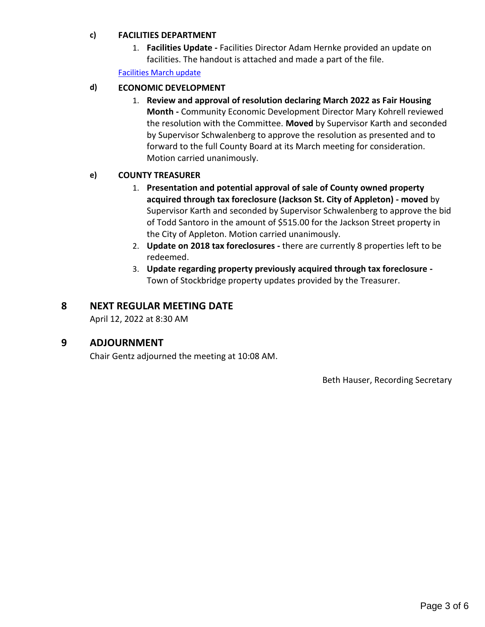#### **c) FACILITIES DEPARTMENT**

1. **Facilities Update -** Facilities Director Adam Hernke provided an update on facilities. The handout is attached and made a part of the file.

[Facilities March update](#page-5-0)

#### **d) ECONOMIC DEVELOPMENT**

1. **Review and approval of resolution declaring March 2022 as Fair Housing Month -** Community Economic Development Director Mary Kohrell reviewed the resolution with the Committee. **Moved** by Supervisor Karth and seconded by Supervisor Schwalenberg to approve the resolution as presented and to forward to the full County Board at its March meeting for consideration. Motion carried unanimously.

#### **e) COUNTY TREASURER**

- 1. **Presentation and potential approval of sale of County owned property acquired through tax foreclosure (Jackson St. City of Appleton) - moved** by Supervisor Karth and seconded by Supervisor Schwalenberg to approve the bid of Todd Santoro in the amount of \$515.00 for the Jackson Street property in the City of Appleton. Motion carried unanimously.
- 2. **Update on 2018 tax foreclosures -** there are currently 8 properties left to be redeemed.
- 3. **Update regarding property previously acquired through tax foreclosure -** Town of Stockbridge property updates provided by the Treasurer.

#### **8 NEXT REGULAR MEETING DATE**

April 12, 2022 at 8:30 AM

#### **9 ADJOURNMENT**

Chair Gentz adjourned the meeting at 10:08 AM.

Beth Hauser, Recording Secretary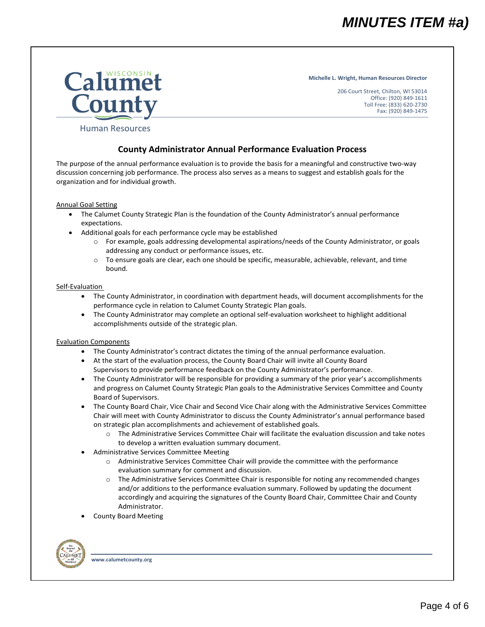# *MINUTES ITEM #a)*

**Michelle L. Wright, Human Resources Director**

206 Court Street, Chilton, WI 53014 Office: (920) 849-1611 Toll Free: (833) 620-2730 Fax: (920) 849-1475

<span id="page-3-0"></span>

#### Human Resources

#### **County Administrator Annual Performance Evaluation Process**

The purpose of the annual performance evaluation is to provide the basis for a meaningful and constructive two-way discussion concerning job performance. The process also serves as a means to suggest and establish goals for the organization and for individual growth.

#### Annual Goal Setting

- The Calumet County Strategic Plan is the foundation of the County Administrator's annual performance expectations.
- Additional goals for each performance cycle may be established
	- o For example, goals addressing developmental aspirations/needs of the County Administrator, or goals addressing any conduct or performance issues, etc.
	- $\circ$  To ensure goals are clear, each one should be specific, measurable, achievable, relevant, and time bound.

#### Self-Evaluation

- The County Administrator, in coordination with department heads, will document accomplishments for the performance cycle in relation to Calumet County Strategic Plan goals.
- The County Administrator may complete an optional self-evaluation worksheet to highlight additional accomplishments outside of the strategic plan.

#### Evaluation Components

- The County Administrator's contract dictates the timing of the annual performance evaluation.
- At the start of the evaluation process, the County Board Chair will invite all County Board Supervisors to provide performance feedback on the County Administrator's performance.
- The County Administrator will be responsible for providing a summary of the prior year's accomplishments and progress on Calumet County Strategic Plan goals to the Administrative Services Committee and County Board of Supervisors.
- The County Board Chair, Vice Chair and Second Vice Chair along with the Administrative Services Committee Chair will meet with County Administrator to discuss the County Administrator's annual performance based on strategic plan accomplishments and achievement of established goals.
	- o The Administrative Services Committee Chair will facilitate the evaluation discussion and take notes to develop a written evaluation summary document.
- Administrative Services Committee Meeting
	- o Administrative Services Committee Chair will provide the committee with the performance evaluation summary for comment and discussion.
	- o The Administrative Services Committee Chair is responsible for noting any recommended changes and/or additions to the performance evaluation summary. Followed by updating the document accordingly and acquiring the signatures of the County Board Chair, Committee Chair and County Administrator.
- County Board Meeting

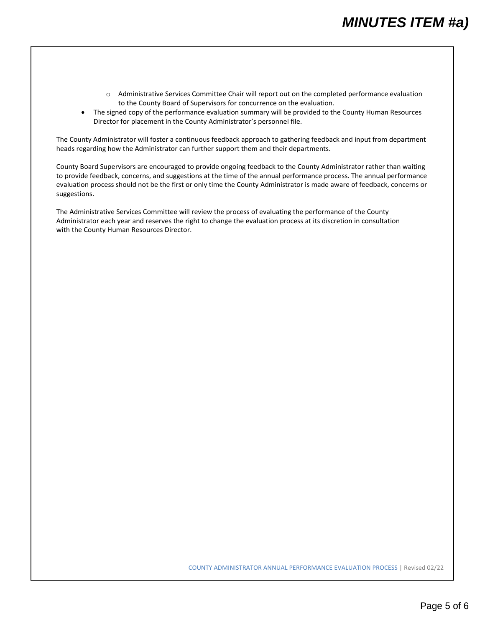- o Administrative Services Committee Chair will report out on the completed performance evaluation to the County Board of Supervisors for concurrence on the evaluation.
- The signed copy of the performance evaluation summary will be provided to the County Human Resources Director for placement in the County Administrator's personnel file.

The County Administrator will foster a continuous feedback approach to gathering feedback and input from department heads regarding how the Administrator can further support them and their departments.

County Board Supervisors are encouraged to provide ongoing feedback to the County Administrator rather than waiting to provide feedback, concerns, and suggestions at the time of the annual performance process. The annual performance evaluation process should not be the first or only time the County Administrator is made aware of feedback, concerns or suggestions.

The Administrative Services Committee will review the process of evaluating the performance of the County Administrator each year and reserves the right to change the evaluation process at its discretion in consultation with the County Human Resources Director.

COUNTY ADMINISTRATOR ANNUAL PERFORMANCE EVALUATION PROCESS | Revised 02/22